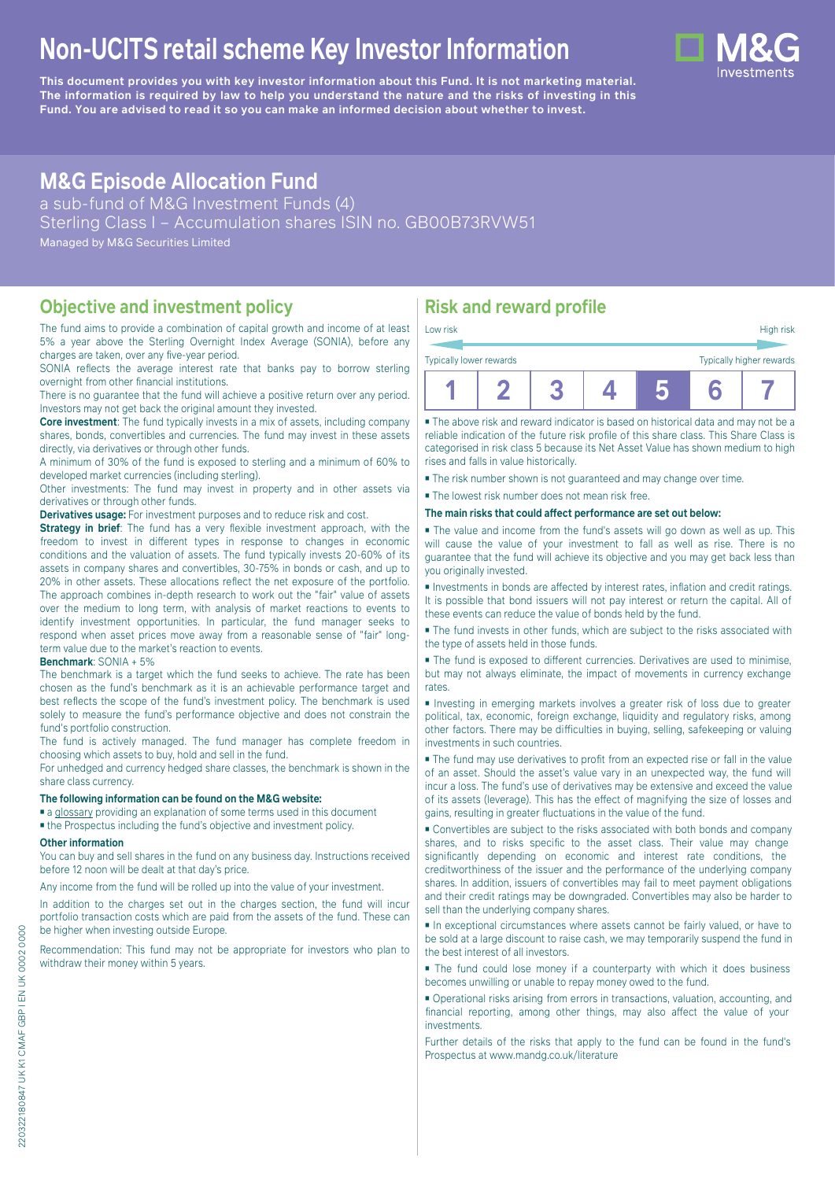# **Non-UCITS retail scheme Key Investor Information**

**This document provides you with key investor information about this Fund. It is not marketing material.** The information is required by law to help you understand the nature and the risks of investing in this **Fund. You are advised to read it so you can make an informed decision about whether to invest.**

## **M&G Episode Allocation Fund**

a sub-fund of M&G Investment Funds (4) Sterling Class I – Accumulation shares ISIN no. GB00B73RVW51 Managed by M&G Securities Limited

### **Objective and investment policy**

The fund aims to provide a combination of capital growth and income of at least 5% a year above the Sterling Overnight Index Average (SONIA), before any charges are taken, over any five-year period.

SONIA reflects the average interest rate that banks pay to borrow sterling overnight from other financial institutions.

There is no guarantee that the fund will achieve a positive return over any period. Investors may not get back the original amount they invested.

**Core investment**: The fund typically invests in a mix of assets, including company shares, bonds, convertibles and currencies. The fund may invest in these assets directly, via derivatives or through other funds.

A minimum of 30% of the fund is exposed to sterling and a minimum of 60% to developed market currencies (including sterling).

Other investments: The fund may invest in property and in other assets via derivatives or through other funds.

**Derivatives usage:** For investment purposes and to reduce risk and cost.

**Strategy in brief**: The fund has a very flexible investment approach, with the freedom to invest in different types in response to changes in economic conditions and the valuation of assets. The fund typically invests 20-60% of its assets in company shares and convertibles, 30-75% in bonds or cash, and up to 20% in other assets. These allocations reflect the net exposure of the portfolio. The approach combines in-depth research to work out the "fair" value of assets over the medium to long term, with analysis of market reactions to events to identify investment opportunities. In particular, the fund manager seeks to respond when asset prices move away from a reasonable sense of "fair" longterm value due to the market's reaction to events.

#### **Benchmark**: SONIA + 5%

The benchmark is a target which the fund seeks to achieve. The rate has been chosen as the fund's benchmark as it is an achievable performance target and best reflects the scope of the fund's investment policy. The benchmark is used solely to measure the fund's performance objective and does not constrain the fund's portfolio construction.

The fund is actively managed. The fund manager has complete freedom in choosing which assets to buy, hold and sell in the fund.

For unhedged and currency hedged share classes, the benchmark is shown in the share class currency.

#### **The following information can be found on the M&G website:**

■ [a glossary](https://docs.mandg.com/docs/glossary-master-en.pdf) providing an explanation of some terms used in this document

■ the Prospectus including the fund's objective and investment policy.

#### **Other information**

You can buy and sell shares in the fund on any business day. Instructions received before 12 noon will be dealt at that day's price.

Any income from the fund will be rolled up into the value of your investment.

In addition to the charges set out in the charges section, the fund will incur portfolio transaction costs which are paid from the assets of the fund. These can be higher when investing outside Europe.

Recommendation: This fund may not be appropriate for investors who plan to withdraw their money within 5 years.

### **Risk and reward profile**

■ The above risk and reward indicator is based on historical data and may not be a reliable indication of the future risk profile of this share class. This Share Class is categorised in risk class 5 because its Net Asset Value has shown medium to high rises and falls in value historically.

■ The risk number shown is not guaranteed and may change over time.

■ The lowest risk number does not mean risk free.

#### **The main risks that could affect performance are set out below:**

■ The value and income from the fund's assets will go down as well as up. This will cause the value of your investment to fall as well as rise. There is no guarantee that the fund will achieve its objective and you may get back less than you originally invested.

■ Investments in bonds are affected by interest rates, inflation and credit ratings. It is possible that bond issuers will not pay interest or return the capital. All of these events can reduce the value of bonds held by the fund.

■ The fund invests in other funds, which are subject to the risks associated with the type of assets held in those funds.

■ The fund is exposed to different currencies. Derivatives are used to minimise, but may not always eliminate, the impact of movements in currency exchange rates.

■ Investing in emerging markets involves a greater risk of loss due to greater political, tax, economic, foreign exchange, liquidity and regulatory risks, among other factors. There may be difficulties in buying, selling, safekeeping or valuing investments in such countries.

■ The fund may use derivatives to profit from an expected rise or fall in the value of an asset. Should the asset's value vary in an unexpected way, the fund will incur a loss. The fund's use of derivatives may be extensive and exceed the value of its assets (leverage). This has the effect of magnifying the size of losses and gains, resulting in greater fluctuations in the value of the fund.

■ Convertibles are subject to the risks associated with both bonds and company shares, and to risks specific to the asset class. Their value may change significantly depending on economic and interest rate conditions, the creditworthiness of the issuer and the performance of the underlying company shares. In addition, issuers of convertibles may fail to meet payment obligations and their credit ratings may be downgraded. Convertibles may also be harder to sell than the underlying company shares.

■ In exceptional circumstances where assets cannot be fairly valued, or have to be sold at a large discount to raise cash, we may temporarily suspend the fund in the best interest of all investors.

■ The fund could lose money if a counterparty with which it does business becomes unwilling or unable to repay money owed to the fund.

■ Operational risks arising from errors in transactions, valuation, accounting, and financial reporting, among other things, may also affect the value of your investments.

Further details of the risks that apply to the fund can be found in the fund's Prospectus at [www.mandg.co.uk/literature](http://www.mandg.co.uk/literature)